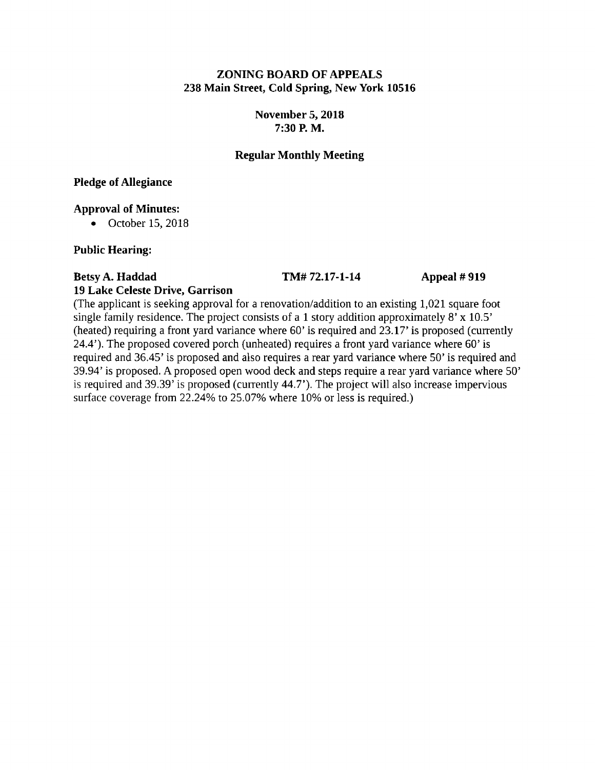# **ZONING BOARD OF APPEALS 238 Main Street, Cold Spring, New York 10516**

# **November 5, 2018 7:30 P. M.**

# **Regular Monthly Meeting**

**Pledge of Allegiance**

### **Approval of Minutes:**

• October 15, 2018

# **Public Hearing:**

# **Betsy A. Haddad TM# 72.17-1-14 Appeal # 919 19 Lake Celeste Drive, Garrison**

(The applicant is seeking approval for a renovation/addition to an existing 1,021 square foot single family residence. The project consists of a 1 story addition approximately 8' x 10.5' (heated) requiring a front yard variance where 60' is required and 23.17' is proposed (currently 24.4'), The proposed covered porch (unheated) requires a front yard variance where 60' is required and 36.45' is proposed and also requires a rear yard variance where 50' is required and 39.94' is proposed. A proposed open wood deck and steps require a rear yard variance where 50' is required and 39.39' is proposed (currently 44.7'). The project will also increase impervious

surface coverage from 22.24% to 25.07% where 10% or less is required.)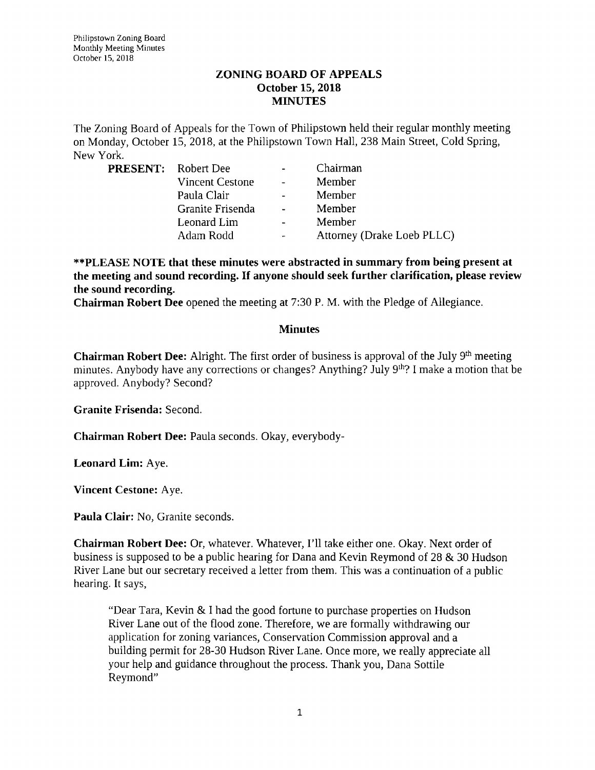#### **ZONING BOARD OF APPEALS October 15, 2018 MINUTES**

The Zoning Board of Appeals for the Town of Philipstown held their regular monthly meeting on Monday, October 15, 2018, at the Philipstown Town Hall, 238 Main Street, Cold Spring, New York.

| <b>PRESENT:</b> Robert Dee |                        |        | Chairman                   |
|----------------------------|------------------------|--------|----------------------------|
|                            | <b>Vincent Cestone</b> |        | Member                     |
|                            | Paula Clair            |        | Member                     |
|                            | Granite Frisenda       | $\sim$ | Member                     |
|                            | Leonard Lim            |        | Member                     |
|                            | Adam Rodd              |        | Attorney (Drake Loeb PLLC) |

**\*\*PLEASE NOTE that these minutes were abstracted in summary from being present at the meeting and sound recording. If anyone should seek further clarification, please review the sound recording.**

**Chairman Robert Dee** opened the meeting at 7:30 P. M. with the Pledge of Allegiance.

#### **Minutes**

**Chairman Robert Dee:** Alright. The first order of business is approval of the July 9<sup>th</sup> meeting minutes. Anybody have any corrections or changes? Anything? July 9<sup>th</sup>? I make a motion that be approved. Anybody? Second?

**Granite Frisenda:** Second.

**Chairman Robert Dee:** Paula seconds. Okay, everybody-

**Leonard Lim:** Aye.

**Vincent Cestone:** Aye.

**Paula Clair:** No, Granite seconds.

**Chairman Robert Dee:** Or, whatever. Whatever, I'll take either one. Okay. Next order of business is supposed to be a public hearing for Dana and Kevin Reymond of 28 & 30 Hudson River Lane but our secretary received a letter from them. This was a continuation of a public hearing. It says,

"Dear Tara, Kevin & I had the good fortune to purchase properties on Hudson River Lane out of the flood zone. Therefore, we are formally withdrawing our application for zoning variances, Conservation Commission approval and a building permit for 28-30 Hudson River Lane. Once more, we really appreciate all your help and guidance throughout the process. Thank you, Dana Sottile Reymond"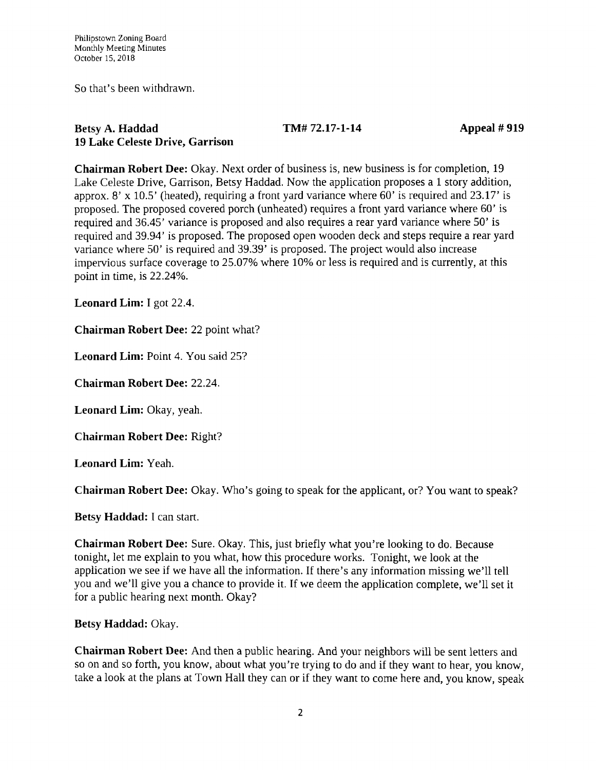So that's been withdrawn.

### **Betsy A. Haddad TM# 72.17-1-14 Appeal # 919 19 Lake Celeste Drive, Garrison**

**Chairman Robert Dee:** Okay. Next order of business is, new business is for completion, 19 Lake Celeste Drive, Garrison, Betsy Haddad. Now the application proposes a <sup>1</sup> story addition, approx. 8' x 10.5' (heated), requiring a front yard variance where 60' is required and 23.17' is proposed. The proposed covered porch (unheated) requires a front yard variance where 60' is required and 36.45' variance is proposed and also requires a rear yard variance where 50' is required and 39.94' is proposed. The proposed open wooden deck and steps require a rear yard variance where 50' is required and 39.39' is proposed. The project would also increase impervious surface coverage to 25.07% where 10% or less is required and is currently, at this point in time, is 22.24%.

**Leonard Lim:** I got 22.4.

**Chairman Robert Dee:** 22 point what?

**Leonard Lim:** Point 4. You said 25?

**Chairman Robert Dee:** 22.24.

**Leonard Lim:** Okay, yeah.

**Chairman Robert Dee:** Right?

**Leonard Lim:** Yeah.

**Chairman Robert Dee:** Okay. Who's going to speak for the applicant, or? You want to speak?

**Betsy Haddad:** I can start.

**Chairman Robert Dee:** Sure. Okay. This, just briefly what you're looking to do. Because tonight, let me explain to you what, how this procedure works. Tonight, we look at the application we see if we have all the information. If there's any information missing we'll tell you and we'll give you a chance to provide it. If we deem the application complete, we'll set it for a public hearing next month. Okay?

### **Betsy Haddad:** Okay.

**Chairman Robert Dee:** And then a public hearing. And your neighbors will be sent letters and so on and so forth, you know, about what you're trying to do and if they want to hear, you know, take a look at the plans at Town Hall they can or if they want to come here and, you know, speak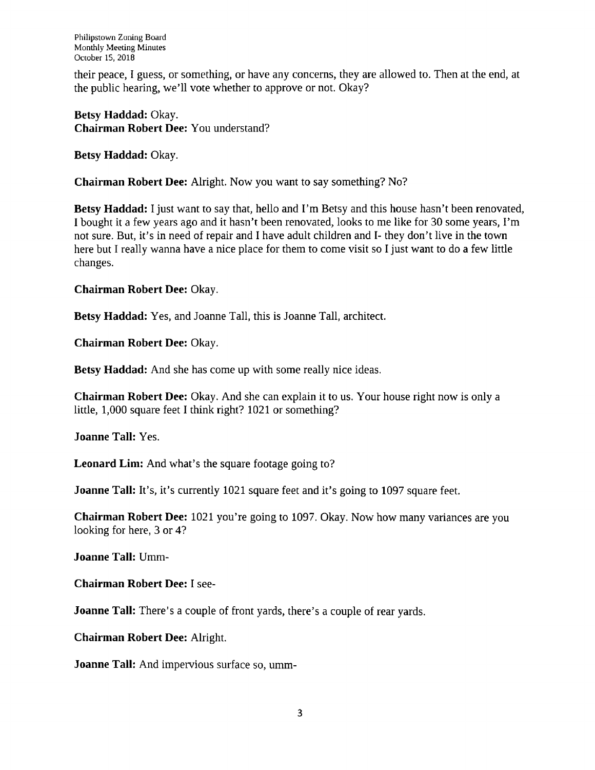Philipstown Zoning Board Monthly Meeting Minutes October 15, 2018

their peace, I guess, or something, or have any concerns, they are allowed to. Then at the end, at the public hearing, we'll vote whether to approve or not. Okay?

**Betsy Haddad:** Okay. **Chairman Robert Dee:** You understand?

**Betsy Haddad:** Okay.

**Chairman Robert Dee:** Alright. Now you want to say something? No?

**Betsy Haddad:** <sup>I</sup> just want to say that, hello and I'm Betsy and this house hasn't been renovated, <sup>I</sup> bought it a few years ago and it hasn't been renovated, looks to me like for 30 some years, I'm not sure. But, it's in need of repair and I have adult children and I- they don't live in the town here but I really wanna have a nice place for them to come visit so I just want to do a few little changes.

**Chairman Robert Dee:** Okay.

**Betsy Haddad:** Yes, and Joanne Tall, this is Joanne Tall, architect.

**Chairman Robert Dee:** Okay.

**Betsy Haddad:** And she has come up with some really nice ideas.

**Chairman Robert Dee:** Okay. And she can explain it to us. Your house right now is only a little, 1,000 square feet I think right? 1021 or something?

**Joanne Tall:** Yes.

**Leonard Lim:** And what's the square footage going to?

**Joanne Tall:** It's, it's currently 1021 square feet and it's going to 1097 square feet.

**Chairman Robert Dee:** 1021 you're going to 1097. Okay. Now how many variances are you looking for here, 3 or 4?

**Joanne Tall: Umm-**

**Chairman Robert Dee:** I see-

**Joanne Tall:** There's a couple of front yards, there's a couple of rear yards.

**Chairman Robert Dee:** Alright.

**Joanne Tall:** And impervious surface so, umm-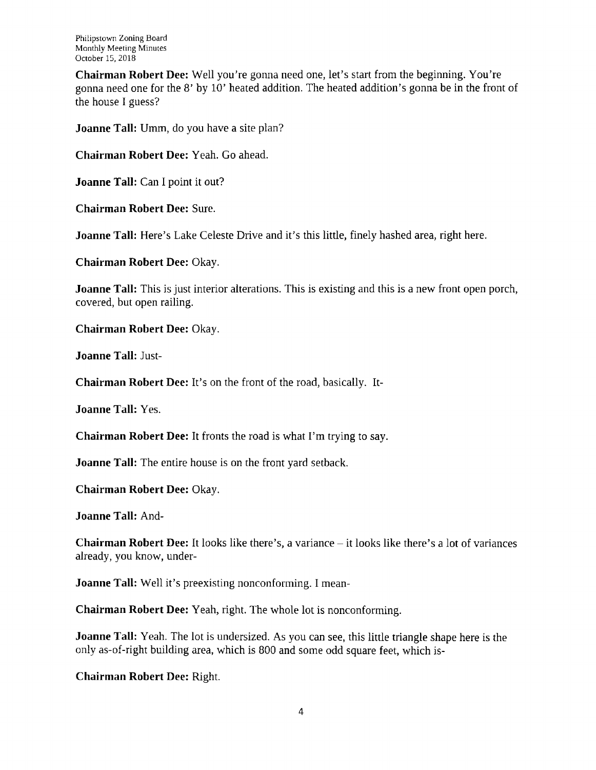Philipstown Zoning Board Monthly Meeting Minutes October 15, 2018

**Chairman Robert Dee:** Well you're gonna need one, let's start from the beginning. You're gonna need one for the 8' by 10' heated addition. The heated addition's gonna be in the front of the house I guess?

**Joanne Tall:** Umm, do you have a site plan?

**Chairman Robert Dee:** Yeah. Go ahead.

**Joanne Tall:** Can I point it out?

**Chairman Robert Dee:** Sure.

**Joanne Tall:** Here's Lake Celeste Drive and it's this little, finely hashed area, right here.

**Chairman Robert Dee:** Okay.

**Joanne Tall:** This is just interior alterations. This is existing and this is a new front open porch, covered, but open railing.

**Chairman Robert Dee:** Okay.

**Joanne Tall:** Just-

**Chairman Robert Dee:** It's on the front of the road, basically. It-

**Joanne Tall:** Yes.

**Chairman Robert Dee:** It fronts the road is what I'm trying to say.

**Joanne Tall:** The entire house is on the front yard setback.

**Chairman Robert Dee:** Okay.

**Joanne Tall:** And-

**Chairman Robert Dee:** It looks like there's, <sup>a</sup> variance - it looks like there's <sup>a</sup> lot of variances already, you know, under-

**Joanne Tall:** Well it's preexisting nonconforming. I mean-

**Chairman Robert Dee:** Yeah, right. The whole lot is nonconforming.

**Joanne Tall:** Yeah. The lot is undersized. As you can see, this little triangle shape here is the only as-of-right building area, which is 800 and some odd square feet, which is-

**Chairman Robert Dee:** Right.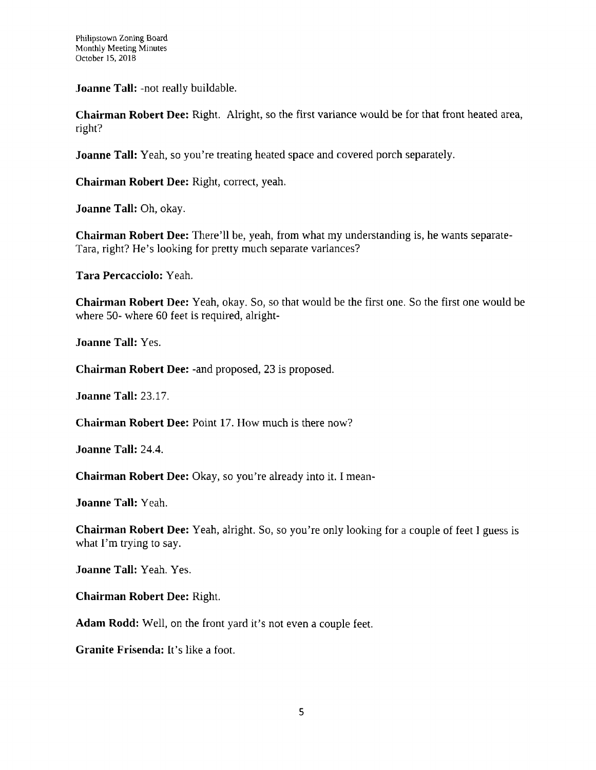**Joanne Tall:** -not really buildable.

**Chairman Robert Dee:** Right. Alright, so the first variance would be for that front heated area, right?

**Joanne Tall:** Yeah, so you're treating heated space and covered porch separately.

**Chairman Robert Dee:** Right, correct, yeah.

**Joanne Tall:** Oh, okay.

**Chairman Robert Dee:** There'll be, yeah, from what my understanding is, he wants separate-Tara, right? He's looking for pretty much separate variances?

**Tara Percacciolo:** Yeah.

**Chairman Robert Dee:** Yeah, okay. So, so that would be the first one. So the first one would be where 50- where 60 feet is required, alright-

**Joanne Tall:** Yes.

**Chairman Robert Dee:** -and proposed, 23 is proposed.

**Joanne Tall: 23.17.**

**Chairman Robert Dee:** Point 17. How much is there now?

**Joanne Tall: 24.4.**

**Chairman Robert Dee:** Okay, so you're already into it. I mean-

**Joanne Tall:** Yeah.

**Chairman Robert Dee:** Yeah, alright. So, so you're only looking for a couple of feet <sup>I</sup> guess is what I'm trying to say.

**Joanne Tall:** Yeah. Yes.

**Chairman Robert Dee:** Right.

**Adam Rodd:** Well, on the front yard it's not even a couple feet.

**Granite Frisenda:** It's like a foot.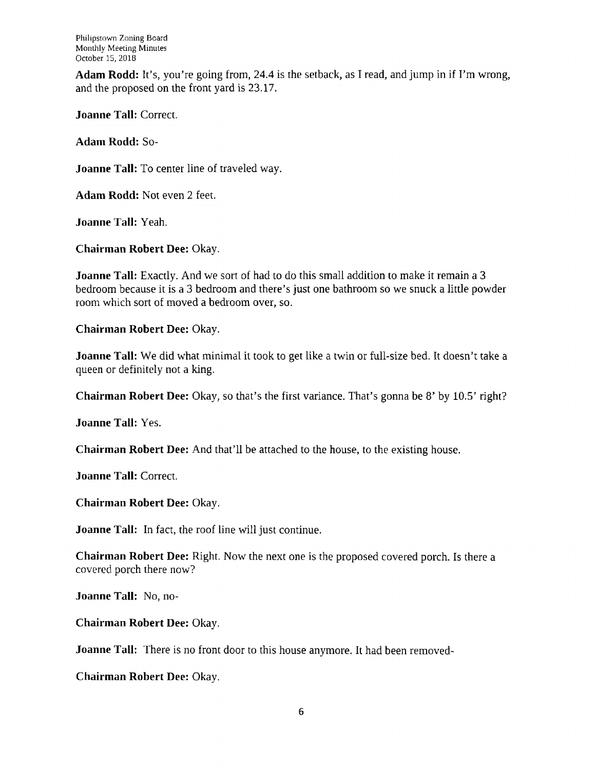**Adam Rodd:** It's, you're going from, 24.4 is the setback, as I read, and jump in if I'm wrong, and the proposed on the front yard is 23.17.

**Joanne Tall:** Correct.

**Adam Rodd:** So-

**Joanne Tall:** To center line of traveled way.

**Adam Rodd:** Not even 2 feet.

**Joanne Tall:** Yeah.

**Chairman Robert Dee:** Okay.

**Joanne Tall:** Exactly. And we sort of had to do this small addition to make it remain a 3 bedroom because it is a 3 bedroom and there's just one bathroom so we snuck a little powder room which sort of moved a bedroom over, so.

**Chairman Robert Dee:** Okay.

**Joanne Tall:** We did what minimal it took to get like a twin or full-size bed. It doesn't take a queen or definitely not a king.

**Chairman Robert Dee:** Okay, so that's the first variance. That's gonna be 8' by 10.5' right?

**Joanne Tall:** Yes.

**Chairman Robert Dee:** And that'll be attached to the house, to the existing house.

**Joanne Tall:** Correct.

**Chairman Robert Dee:** Okay.

**Joanne Tall:** In fact, the roof line will just continue.

**Chairman Robert Dee:** Right. Now the next one is the proposed covered porch. Is there a covered porch there now?

**Joanne Tall: No, no-**

**Chairman Robert Dee:** Okay.

**Joanne Tall:** There is no front door to this house anymore. It had been removed-

**Chairman Robert Dee: Okay.**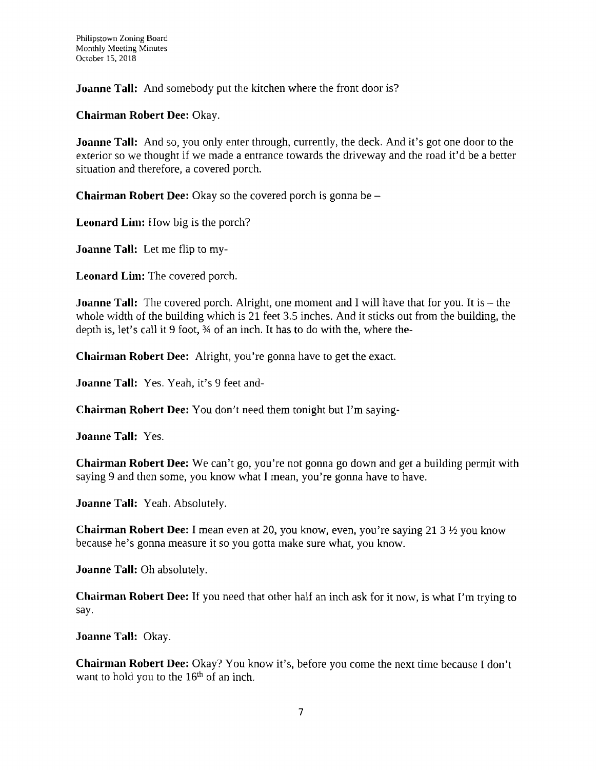**Joanne Tall:** And somebody put the kitchen where the front door is?

**Chairman Robert Dee: Okay.**

**Joanne Tall:** And so, you only enter through, currently, the deck. And it's got one door to the exterior so we thought if we made a entrance towards the driveway and the road it'd be a better situation and therefore, a covered porch.

**Chairman Robert Dee:** Okay so the covered porch is gonna be -

**Leonard Lim:** How big is the porch?

**Joanne Tall:** Let me flip to my-

**Leonard Lim:** The covered porch.

**Joanne Tall:** The covered porch. Alright, one moment and I will have that for you. It is – the whole width of the building which is 21 feet 3.5 inches. And it sticks out from the building, the depth is, let's call it 9 foot,  $\frac{3}{4}$  of an inch. It has to do with the, where the-

**Chairman Robert Dee:** Alright, you're gonna have to get the exact.

**Joanne Tall:** Yes. Yeah, it's 9 feet and-

**Chairman Robert Dee:** You don't need them tonight but I'm saying-

**Joanne Tall:** Yes.

**Chairman Robert Dee:** We can't go, you're not gonna go down and get a building permit with saying 9 and then some, you know what I mean, you're gonna have to have.

**Joanne Tall:** Yeah. Absolutely.

**Chairman Robert Dee:** <sup>I</sup> mean even at 20, you know, even, you're saying 21 3 *Vi* you know because he's gonna measure it so you gotta make sure what, you know.

**Joanne Tall:** Oh absolutely.

**Chairman Robert Dee:** If you need that other half an inch ask for it now, is what I'm trying to say.

**Joanne Tall:** Okay.

**Chairman Robert Dee:** Okay? You know it's, before you come the next time because I don't want to hold you to the  $16<sup>th</sup>$  of an inch.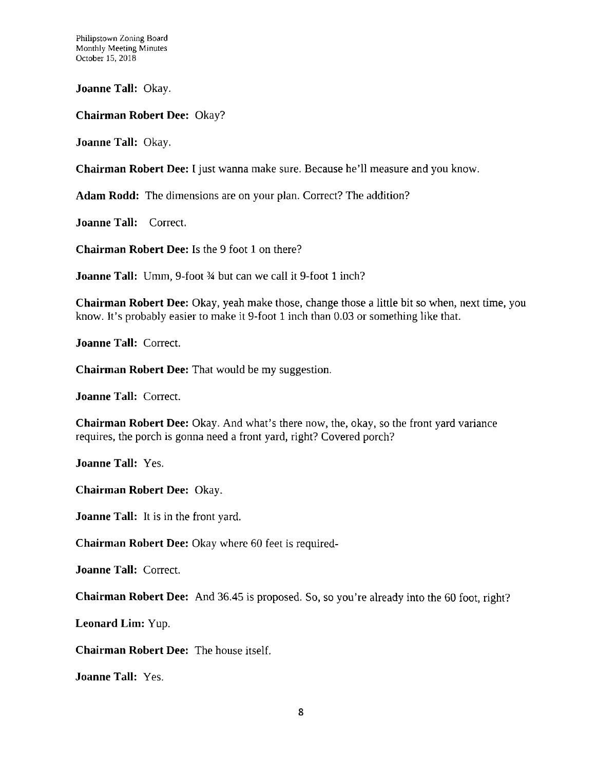Philipstown Zoning Board Monthly Meeting Minutes October 15, 2018

**Joanne Tall:** Okay.

**Chairman Robert Dee:** Okay?

**Joanne Tall:** Okay.

**Chairman Robert Dee:** I just wanna make sure. Because he'll measure and you know.

**Adam Rodd:** The dimensions are on your plan. Correct? The addition?

**Joanne Tall:** Correct.

**Chairman Robert Dee:** Is the 9 foot 1 on there?

**Joanne Tall:** Umm, 9-foot 34 but can we call it 9-foot <sup>1</sup> inch?

**Chairman Robert Dee:** Okay, yeah make those, change those a little bit so when, next time, you know. It's probably easier to make it 9-foot <sup>1</sup> inch than 0.03 or something like that.

**Joanne Tall:** Correct.

**Chairman Robert Dee:** That would be my suggestion.

**Joanne Tall:** Correct.

**Chairman Robert Dee:** Okay. And what's there now, the, okay, so the front yard variance requires, the porch is gonna need a front yard, right? Covered porch?

**Joanne Tall:** Yes.

**Chairman Robert Dee:** Okay.

**Joanne Tall:** It is in the front yard.

**Chairman Robert Dee:** Okay where 60 feet is required-

**Joanne Tall:** Correct.

**Chairman Robert Dee:** And 36.45 is proposed. So, so you're already into the 60 foot, right?

**Leonard Lim: Yup.**

**Chairman Robert Dee:** The house itself.

**Joanne Tall:** Yes.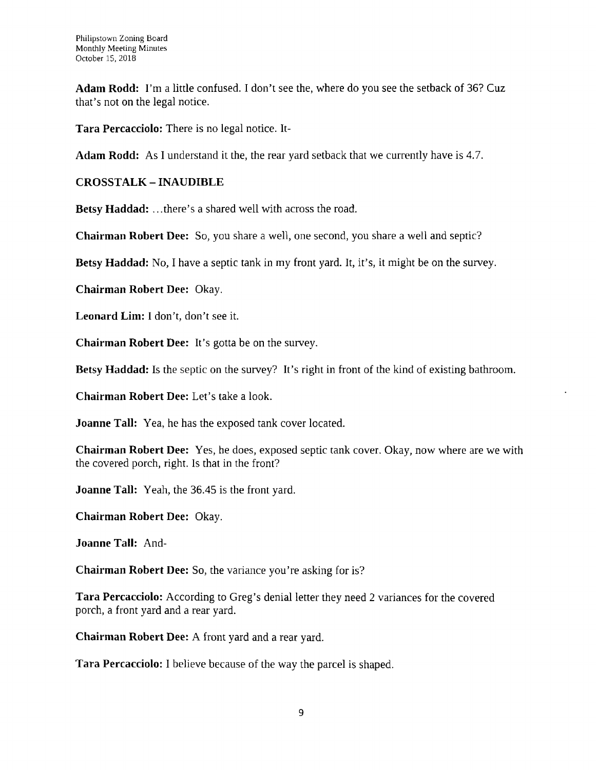**Adam Rodd:** I'm a little confused. I don't see the, where do you see the setback of 36? Cuz that's not on the legal notice.

**Tara Percacciolo:** There is no legal notice. It-

**Adam Rodd:** As I understand it the, the rear yard setback that we currently have is 4.7.

### **CROSSTALK - INAUDIBLE**

**Betsy Haddad: ..** .there's a shared well with across the road.

**Chairman Robert Dee:** So, you share a well, one second, you share a well and septic?

**Betsy Haddad:** No, I have a septic tank in my front yard. It, it's, it might be on the survey.

**Chairman Robert Dee:** Okay.

**Leonard Lim:** I don't, don't see it.

**Chairman Robert Dee:** It's gotta be on the survey.

**Betsy Haddad:** Is the septic on the survey? It's right in front of the kind of existing bathroom.

**Chairman Robert Dee:** Let's take a look.

**Joanne Tall:** Yea, he has the exposed tank cover located.

**Chairman Robert Dee:** Yes, he does, exposed septic tank cover. Okay, now where are we with the covered porch, right. Is that in the front?

**Joanne Tall:** Yeah, the 36.45 is the front yard.

**Chairman Robert Dee:** Okay.

**Joanne Tall:** And-

**Chairman Robert Dee:** So, the variance you're asking for is?

**Tara Percacciolo:** According to Greg's denial letter they need 2 variances for the covered porch, a front yard and a rear yard.

**Chairman Robert Dee:** A front yard and a rear yard.

**Tara Percacciolo:** I believe because of the way the parcel is shaped.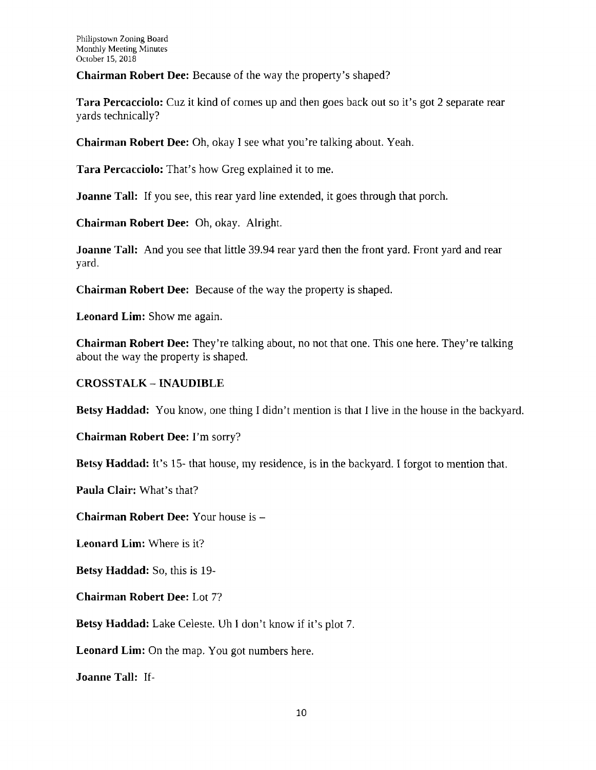**Chairman Robert Dee:** Because of the way the property's shaped?

**Tara Percacciolo:** Cuz it kind of comes up and then goes back out so it's got 2 separate rear yards technically?

**Chairman Robert Dee:** Oh, okay I see what you're talking about. Yeah.

**Tara Percacciolo:** That's how Greg explained it to me.

**Joanne Tall:** If you see, this rear yard line extended, it goes through that porch.

**Chairman Robert Dee:** Oh, okay. Alright.

**Joanne Tall:** And you see that little 39.94 rear yard then the front yard. Front yard and rear yard.

**Chairman Robert Dee:** Because of the way the property is shaped.

**Leonard Lim:** Show me again.

**Chairman Robert Dee:** They're talking about, no not that one. This one here. They're talking about the way the property is shaped.

**CROSSTALK - INAUDIBLE**

**Betsy Haddad:** You know, one thing I didn't mention is that <sup>I</sup> live in the house in the backyard.

**Chairman Robert Dee:** I'm sorry?

**Betsy Haddad:** It's 15- that house, my residence, is in the backyard. I forgot to mention that.

**Paula Clair:** What's that?

**Chairman Robert Dee:** Your house is -

**Leonard Lim:** Where is it?

**Betsy Haddad:** So, this is 19-

**Chairman Robert Dee: Lot 7?**

**Betsy Haddad:** Lake Celeste. Uh I don't know if it's plot 7.

**Leonard Lim:** On the map. You got numbers here.

**Joanne Tall:** If-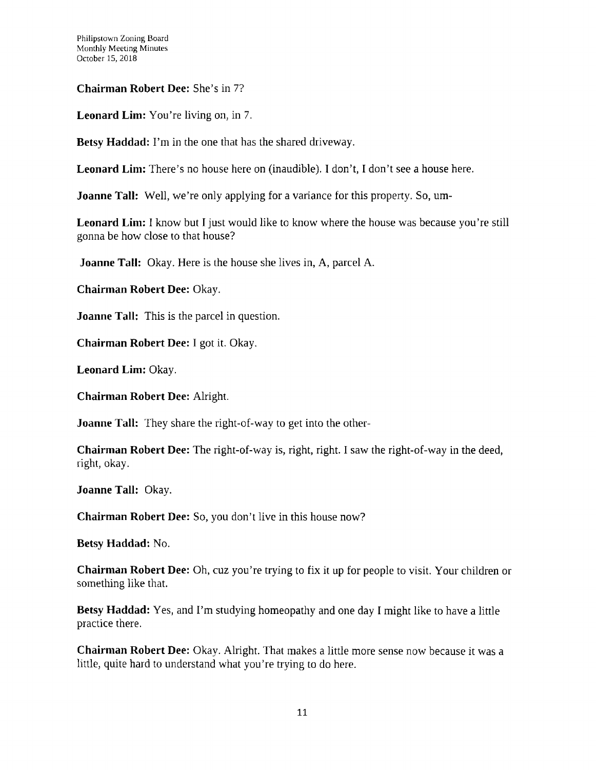**Chairman Robert Dee:** She's in 7?

**Leonard Lim:** You're living on, in 7.

**Betsy Haddad:** I'm in the one that has the shared driveway.

**Leonard Lim:** There's no house here on (inaudible). I don't, I don't see a house here.

**Joanne Tall:** Well, we're only applying for a variance for this property. So, um-

**Leonard Lim:** <sup>I</sup> know but I just would like to know where the house was because you're still gonna be how close to that house?

**Joanne Tall:** Okay. Here is the house she lives in, A, parcel A.

**Chairman Robert Dee:** Okay.

**Joanne Tall:** This is the parcel in question.

**Chairman Robert Dee:** I got it. Okay.

**Leonard Lim:** Okay.

**Chairman Robert Dee:** Alright.

**Joanne Tall:** They share the right-of-way to get into the other-

**Chairman Robert Dee:** The right-of-way is, right, right. I saw the right-of-way in the deed, right, okay.

**Joanne Tall:** Okay.

**Chairman Robert Dee:** So, you don't live in this house now?

**Betsy Haddad:** No.

**Chairman Robert Dee:** Oh, cuz you're trying to fix it up for people to visit. Your children or something like that.

**Betsy Haddad:** Yes, and I'm studying homeopathy and one day <sup>I</sup> might like to have a little practice there.

**Chairman Robert Dee:** Okay. Alright. That makes a little more sense now because it was a little, quite hard to understand what you're trying to do here.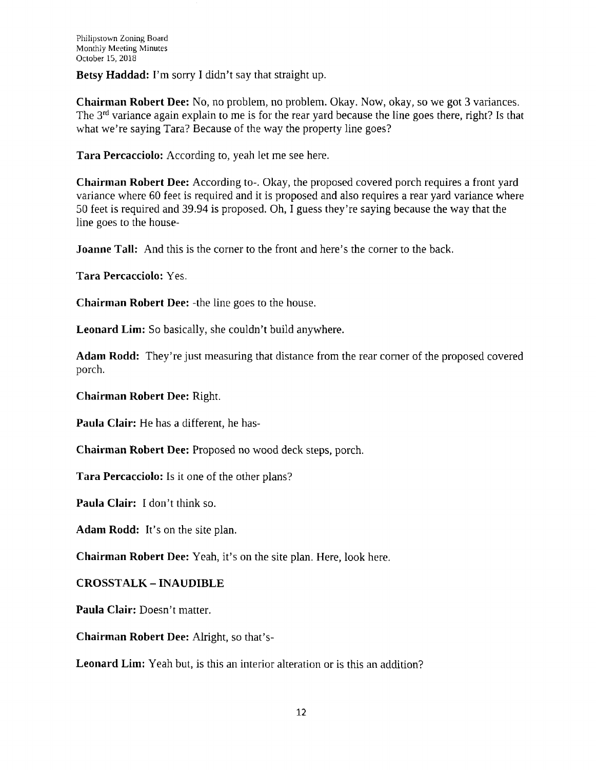**Betsy Haddad:** I'm sorry I didn't say that straight up.

**Chairman Robert Dee:** No, no problem, no problem. Okay. Now, okay, so we got 3 variances. The 3<sup>rd</sup> variance again explain to me is for the rear yard because the line goes there, right? Is that what we're saying Tara? Because of the way the property line goes?

**Tara Percacciolo:** According to, yeah let me see here.

**Chairman Robert Dee:** According to-. Okay, the proposed covered porch requires a front yard variance where 60 feet is required and it is proposed and also requires a rear yard variance where 50 feet is required and 39.94 is proposed. Oh, I guess they're saying because the way that the line goes to the house-

**Joanne Tall:** And this is the corner to the front and here's the corner to the back.

**Tara Percacciolo:** Yes.

**Chairman Robert Dee:** -the line goes to the house.

**Leonard Lim:** So basically, she couldn't build anywhere.

**Adam Rodd:** They're just measuring that distance from the rear corner of the proposed covered porch.

**Chairman Robert Dee:** Right.

**Paula Clair:** He has a different, he has-

**Chairman Robert Dee:** Proposed no wood deck steps, porch.

**Tara Percacciolo:** Is it one of the other plans?

**Paula Clair:** <sup>I</sup> don't think so.

**Adam Rodd:** It's on the site plan.

**Chairman Robert Dee:** Yeah, it's on the site plan. Here, look here.

**CROSSTALK -INAUDIBLE**

**Paula Clair:** Doesn't matter.

**Chairman Robert Dee:** Alright, so that's-

**Leonard Lim:** Yeah but, is this an interior alteration or is this an addition?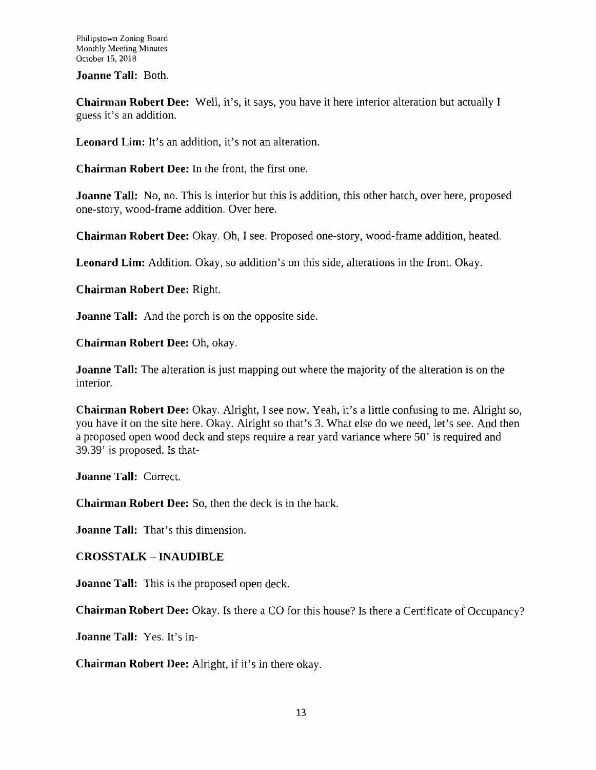**Joanne Tall:** Both.

**Chairman Robert Dee:** Well, it's, it says, you have it here interior alteration but actually <sup>I</sup> guess it's an addition.

**Leonard Lim:** It's an addition, it's not an alteration.

**Chairman Robert Dee:** In the front, the first one.

**Joanne Tall:** No, no. This is interior but this is addition, this other hatch, over here, proposed one-story, wood-frame addition. Over here.

**Chairman Robert Dee:** Okay. Oh, I see. Proposed one-story, wood-frame addition, heated.

**Leonard Lim:** Addition. Okay, so addition's on this side, alterations in the front. Okay.

**Chairman Robert Dee:** Right.

**Joanne Tall:** And the porch is on the opposite side.

**Chairman Robert Dee:** Oh, okay.

**Joanne Tall:** The alteration is just mapping out where the majority of the alteration is on the interior.

**Chairman Robert Dee:** Okay. Alright, I see now. Yeah, it's a little confusing to me. Alright so, you have it on the site here. Okay. Alright so that's 3. What else do we need, let's see. And then a proposed open wood deck and steps require a rear yard variance where 50' is required and 39.39' is proposed. Is that-

**Joanne Tall:** Correct.

**Chairman Robert Dee:** So, then the deck is in the back.

**Joanne Tall:** That's this dimension.

# **CROSSTALK - INAUDIBLE**

**Joanne Tall:** This is the proposed open deck.

**Chairman Robert Dee:** Okay. Is there a CO for this house? Is there a Certificate of Occupancy?

**Joanne Tall:** Yes. It's in-

**Chairman Robert Dee:** Alright, if it's in there okay.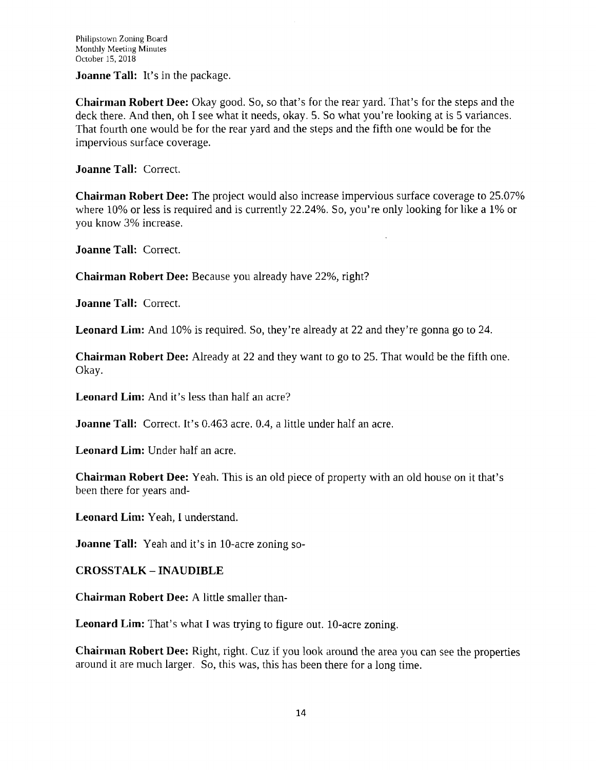**Joanne Tall:** It's in the package.

**Chairman Robert Dee:** Okay good. So, so that's for the rear yard. That's for the steps and the deck there. And then, oh I see what it needs, okay. 5. So what you're looking at is 5 variances. That fourth one would be for the rear yard and the steps and the fifth one would be for the impervious surface coverage.

**Joanne Tall:** Correct.

**Chairman Robert Dee:** The project would also increase impervious surface coverage to 25.07% where 10% or less is required and is currently 22.24%. So, you're only looking for like a 1% or you know 3% increase.

**Joanne Tall:** Correct.

**Chairman Robert Dee:** Because you already have 22%, right?

**Joanne Tall:** Correct.

**Leonard Lim:** And 10% is required. So, they're already at 22 and they're gonna go to 24.

**Chairman Robert Dee:** Already at 22 and they want to go to 25. That would be the fifth one. Okay.

**Leonard Lim:** And it's less than half an acre?

**Joanne Tall:** Correct. It's 0.463 acre. 0.4, a little under half an acre.

**Leonard Lim:** Under half an acre.

**Chairman Robert Dee:** Yeah. This is an old piece of property with an old house on it that's been there for years and-

**Leonard Lim:** Yeah, I understand.

**Joanne Tall:** Yeah and it's in 10-acre zoning so-

**CROSSTALK - INAUDIBLE**

**Chairman Robert Dee:** A little smaller than-

**Leonard Lim:** That's what I was trying to figure out. 10-acre zoning.

**Chairman Robert Dee:** Right, right. Cuz if you look around the area you can see the properties around it are much larger. So, this was, this has been there for a long time.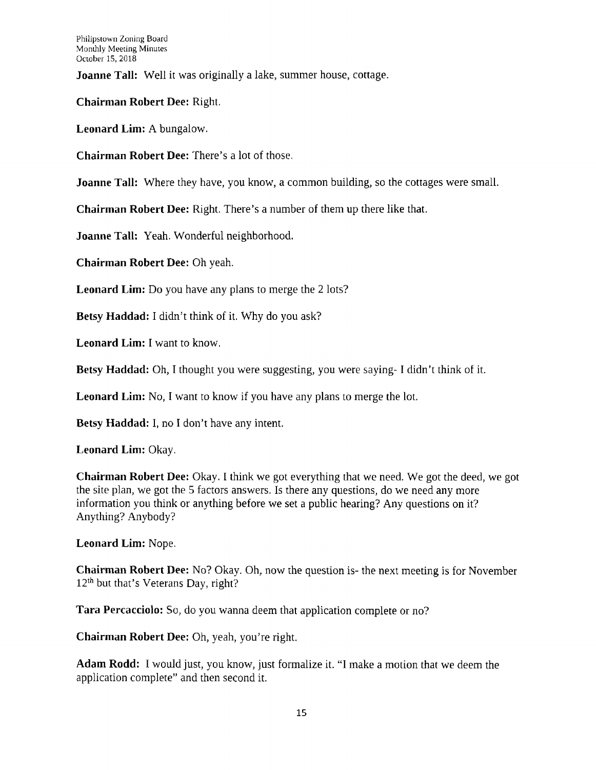**Joanne Tall:** Well it was originally a lake, summer house, cottage.

**Chairman Robert Dee: Right.**

**Leonard Lim:** A bungalow.

**Chairman Robert Dee:** There's a lot of those.

**Joanne Tall:** Where they have, you know, a common building, so the cottages were small.

**Chairman Robert Dee:** Right. There's a number of them up there like that.

**Joanne Tall:** Yeah. Wonderful neighborhood.

**Chairman Robert Dee:** Oh yeah.

**Leonard Lim:** Do you have any plans to merge the 2 lots?

**Betsy Haddad:** I didn't think of it. Why do you ask?

**Leonard Lim:** I want to know.

**Betsy Haddad:** Oh, I thought you were suggesting, you were saying-1 didn't think of it.

**Leonard Lim:** No, I want to know if you have any plans to merge the lot.

**Betsy Haddad:** I, no I don't have any intent.

**Leonard Lim:** Okay.

**Chairman Robert Dee:** Okay. I think we got everything that we need. We got the deed, we got the site plan, we got the 5 factors answers. Is there any questions, do we need any more information you think or anything before we set a public hearing? Any questions on it? Anything? Anybody?

**Leonard Lim:** Nope.

**Chairman Robert Dee:** No? Okay. Oh, now the question is- the next meeting is for November 12<sup>th</sup> but that's Veterans Day, right?

**Tara Percacciolo:** So, do you wanna deem that application complete or no?

**Chairman Robert Dee:** Oh, yeah, you're right,

**Adam Rodd:** I would just, you know, just formalize it. "I make a motion that we deem the application complete" and then second it.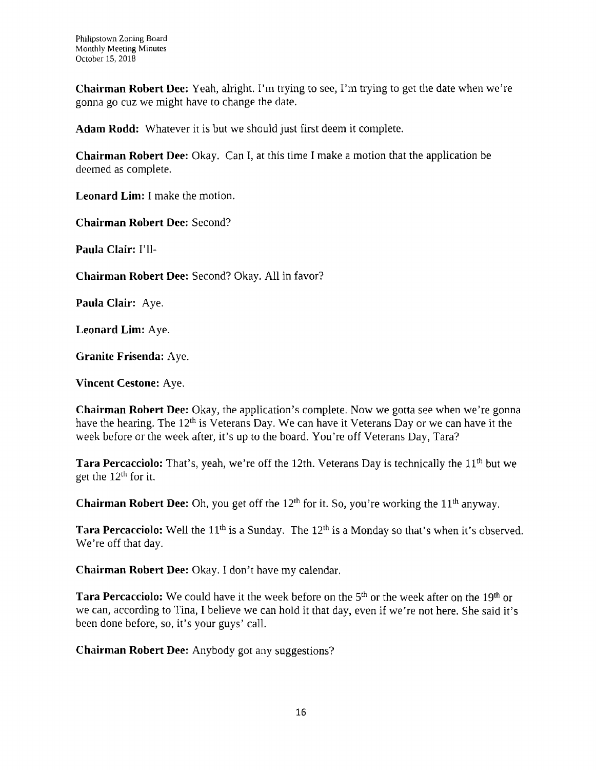**Chairman Robert Dee:** Yeah, alright. I'm trying to see, I'm trying to get the date when we're gonna go cuz we might have to change the date.

**Adam Rodd:** Whatever it is but we should just first deem it complete.

**Chairman Robert Dee:** Okay. Can I, at this time I make a motion that the application be deemed as complete.

**Leonard Lim:** I make the motion.

**Chairman Robert Dee:** Second?

**Paula Clair: I'll-**

**Chairman Robert Dee:** Second? Okay. All in favor?

**Paula Clair: Aye.**

**Leonard Lim:** Aye.

**Granite Frisenda:** Aye.

**Vincent Cestone:** Aye.

**Chairman Robert Dee:** Okay, the application's complete. Now we gotta see when we're gonna have the hearing. The 12<sup>th</sup> is Veterans Day. We can have it Veterans Day or we can have it the week before or the week after, it's up to the board. You're off Veterans Day, Tara?

**Tara Percacciolo:** That's, yeah, we're off the 12th. Veterans Day is technically the 11th but we get the 12th for it.

**Chairman Robert Dee:** Oh, you get off the 12th for it. So, you're working the 11th anyway.

**Tara Percacciolo:** Well the 11<sup>th</sup> is a Sunday. The 12<sup>th</sup> is a Monday so that's when it's observed. We're off that day.

**Chairman Robert Dee:** Okay. I don't have my calendar.

**Tara Percacciolo:** We could have it the week before on the 5<sup>th</sup> or the week after on the 19<sup>th</sup> or we can, according to Tina, I believe we can hold it that day, even if we're not here. She said it's been done before, so, it's your guys' call.

**Chairman Robert Dee:** Anybody got any suggestions?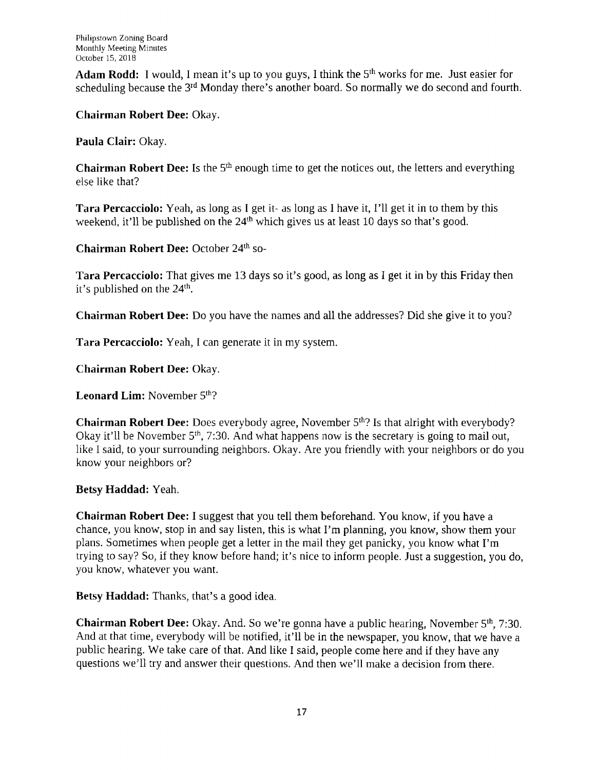**Adam Rodd:** I would, I mean it's up to you guys, I think the 5th works for me. Just easier for scheduling because the 3<sup>rd</sup> Monday there's another board. So normally we do second and fourth.

**Chairman Robert Dee:** Okay.

**Paula Clair:** Okay.

**Chairman Robert Dee:** Is the 5<sup>th</sup> enough time to get the notices out, the letters and everything else like that?

**Tara Percacciolo:** Yeah, as long as I get it- as long as I have it, I'll get it in to them by this weekend, it'll be published on the  $24<sup>th</sup>$  which gives us at least 10 days so that's good.

**Chairman Robert Dee:** October 24th so-

**Tara Percacciolo:** That gives me 13 days so it's good, as long as I get it in by this Friday then it's published on the  $24<sup>th</sup>$ .

**Chairman Robert Dee:** Do you have the names and all the addresses? Did she give it to you?

**Tara Percacciolo:** Yeah, I can generate it in my system.

**Chairman Robert Dee:** Okay.

**Leonard Lim:** November 5<sup>th</sup>?

**Chairman Robert Dee:** Does everybody agree, November 5<sup>th</sup>? Is that alright with everybody? Okay it'll be November  $5<sup>th</sup>$ , 7:30. And what happens now is the secretary is going to mail out, like I said, to your surrounding neighbors. Okay. Are you friendly with your neighbors or do you know your neighbors or?

**Betsy Haddad:** Yeah.

**Chairman Robert Dee:** I suggest that you tell them beforehand. You know, if you have a chance, you know, stop in and say listen, this is what I'm planning, you know, show them your plans. Sometimes when people get a letter in the mail they get panicky, you know what I'm trying to say? So, if they know before hand; it's nice to inform people. Just a suggestion, you do, you know, whatever you want.

**Betsy Haddad:** Thanks, that's a good idea.

**Chairman Robert Dee:** Okay. And. So we're gonna have a public hearing, November 5th, 7:30. And at that time, everybody will be notified, it'll be in the newspaper, you know, that we have a public hearing. We take care of that. And like I said, people come here and if they have any questions we'll try and answer their questions. And then we'll make a decision from there.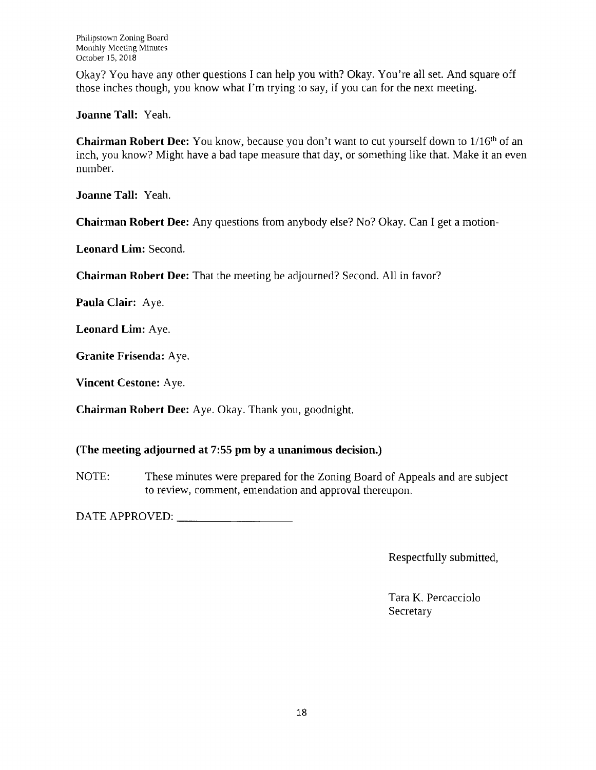Okay? You have any other questions I can help you with? Okay. You're all set. And square off those inches though, you know what I'm trying to say, if you can for the next meeting.

**Joanne Tall:** Yeah.

**Chairman Robert Dee:** You know, because you don't want to cut yourself down to l/16th of an inch, you know? Might have a bad tape measure that day, or something like that. Make it an even number.

**Joanne Tall:** Yeah.

**Chairman Robert Dee:** Any questions from anybody else? No? Okay. Can I get a motion-

**Leonard Lim:** Second.

**Chairman Robert Dee:** That the meeting be adjourned? Second. All in favor?

**Paula Clair:** Aye.

**Leonard Lim:** Aye.

**Granite Frisenda:** Aye.

**Vincent Cestone:** Aye.

**Chairman Robert Dee:** Aye. Okay. Thank you, goodnight.

# **(The meeting adjourned at 7:55 pm by a unanimous decision.)**

NOTE: These minutes were prepared for the Zoning Board of Appeals and are subject to review, comment, emendation and approval thereupon.

DATE APPROVED:

Respectfully submitted,

Tara K. Percacciolo **Secretary**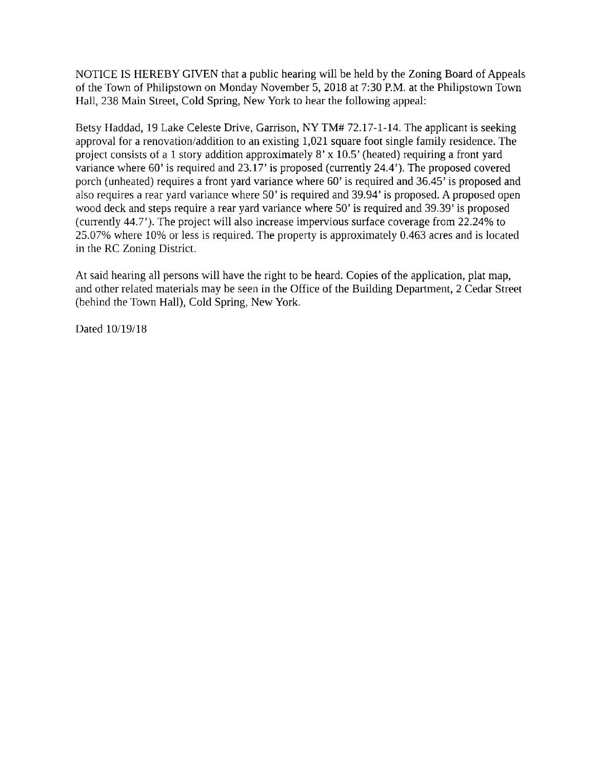NOTICE IS HEREBY GIVEN that a public hearing will be held by the Zoning Board of Appeals of the Town of Philipstown on Monday November 5, 2018 at 7:30 P.M. at the Philipstown Town Hall, 238 Main Street, Cold Spring, New York to hear the following appeal:

Betsy Haddad, 19 Lake Celeste Drive, Garrison, NY TM# 72.17-1-14. The applicant is seeking approval for a renovation/addition to an existing 1,021 square foot single family residence. The project consists of a 1 story addition approximately  $8' \times 10.5'$  (heated) requiring a front yard variance where 60' is required and 23.17' is proposed (currently 24.4'). The proposed covered porch (unheated) requires a front yard variance where 60' is required and 36.45' is proposed and also requires a rear yard variance where 50' is required and 39.94' is proposed. A proposed open wood deck and steps require a rear yard variance where 50' is required and 39.39' is proposed (currently 44.7'). The project will also increase impervious surface coverage from 22.24% to 25.07% where 10% or less is required. The property is approximately 0.463 acres and is located in the RC Zoning District.

At said hearing all persons will have the right to be heard. Copies of the application, plat map, and other related materials may be seen in the Office of the Building Department, 2 Cedar Street (behind the Town Hall), Cold Spring, New York,

Dated 10/19/18